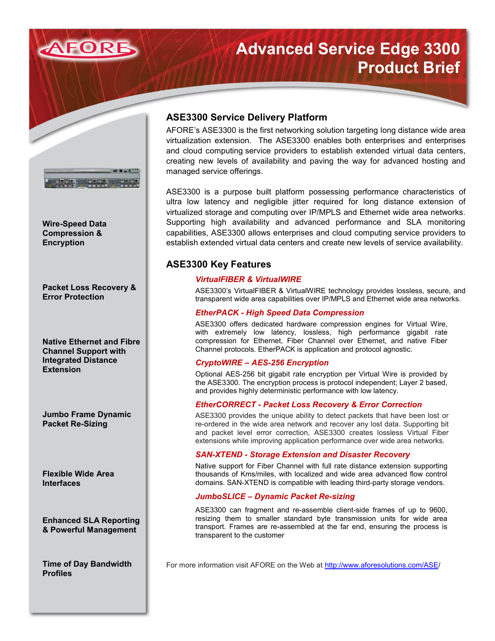

# **Advanced Service Edge 3300 Product Brief**



**Wire-Speed Data Compression & Encryption**

**Packet Loss Recovery & Error Protection**

**Native Ethernet and Fibre Channel Support with Integrated Distance Extension**

**Jumbo Frame Dynamic Packet Re-Sizing**

**Flexible Wide Area Interfaces**

**Enhanced SLA Reporting & Powerful Management**

**Time of Day Bandwidth Profiles**

## **ASE3300 Service Delivery Platform**

AFORE's ASE3300 is the first networking solution targeting long distance wide area virtualization extension. The ASE3300 enables both enterprises and enterprises and cloud computing service providers to establish extended virtual data centers, creating new levels of availability and paving the way for advanced hosting and managed service offerings.

ASE3300 is a purpose built platform possessing performance characteristics of ultra low latency and negligible jitter required for long distance extension of virtualized storage and computing over IP/MPLS and Ethernet wide area networks. Supporting high availability and advanced performance and SLA monitoring capabilities, ASE3300 allows enterprises and cloud computing service providers to establish extended virtual data centers and create new levels of service availability.

## **ASE3300 Key Features**

## *VirtualFIBER & VirtualWIRE*

ASE3300's VirtualFIBER & VirtualWIRE technology provides lossless, secure, and transparent wide area capabilities over IP/MPLS and Ethernet wide area networks.

## *EtherPACK - High Speed Data Compression*

ASE3300 offers dedicated hardware compression engines for Virtual Wire, with extremely low latency, lossless, high performance gigabit rate compression for Ethernet, Fiber Channel over Ethernet, and native Fiber Channel protocols. EtherPACK is application and protocol agnostic.

## *CryptoWIRE – AES-256 Encryption*

Optional AES-256 bit gigabit rate encryption per Virtual Wire is provided by the ASE3300. The encryption process is protocol independent; Layer 2 based, and provides highly deterministic performance with low latency.

## *EtherCORRECT - Packet Loss Recovery & Error Correction*

ASE3300 provides the unique ability to detect packets that have been lost or re-ordered in the wide area network and recover any lost data. Supporting bit and packet level error correction, ASE3300 creates lossless Virtual Fiber extensions while improving application performance over wide area networks.

## *SAN-XTEND - Storage Extension and Disaster Recovery*

Native support for Fiber Channel with full rate distance extension supporting thousands of Kms/miles, with localized and wide area advanced flow control domains. SAN-XTEND is compatible with leading third-party storage vendors.

## *JumboSLICE – Dynamic Packet Re-sizing*

ASE3300 can fragment and re-assemble client-side frames of up to 9600, resizing them to smaller standard byte transmission units for wide area transport. Frames are re-assembled at the far end, ensuring the process is transparent to the customer

For more information visit AFORE on the Web at [http://www.aforesolutions.com/ASE/](http://www.aforesolutions.com/ASE)